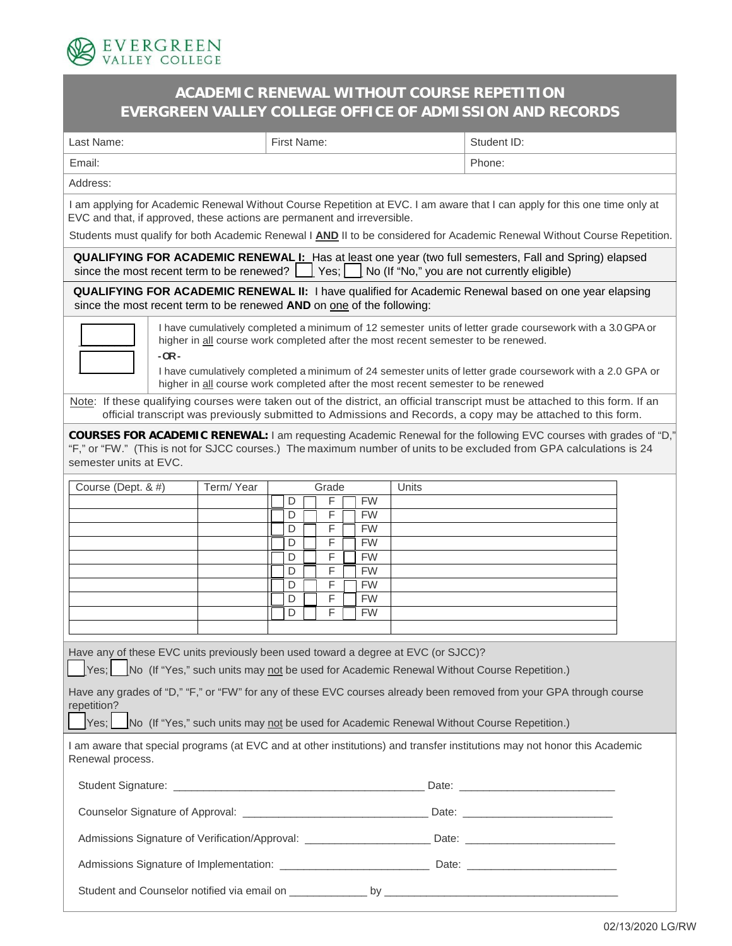

## **ACADEMIC RENEWAL WITHOUT COURSE REPETITION EVERGREEN VALLEY COLLEGE OFFICE OF ADMISSION AND RECORDS**

| Last Name:                                                                                                                                                                                                                                                                                                                                                                                                 | First Name: |        |  |                |  |                        | Student ID: |  |
|------------------------------------------------------------------------------------------------------------------------------------------------------------------------------------------------------------------------------------------------------------------------------------------------------------------------------------------------------------------------------------------------------------|-------------|--------|--|----------------|--|------------------------|-------------|--|
| Email:                                                                                                                                                                                                                                                                                                                                                                                                     |             |        |  |                |  |                        | Phone:      |  |
| Address:                                                                                                                                                                                                                                                                                                                                                                                                   |             |        |  |                |  |                        |             |  |
| I am applying for Academic Renewal Without Course Repetition at EVC. I am aware that I can apply for this one time only at<br>EVC and that, if approved, these actions are permanent and irreversible.                                                                                                                                                                                                     |             |        |  |                |  |                        |             |  |
| Students must qualify for both Academic Renewal I AND II to be considered for Academic Renewal Without Course Repetition.                                                                                                                                                                                                                                                                                  |             |        |  |                |  |                        |             |  |
| <b>QUALIFYING FOR ACADEMIC RENEWAL I:</b> Has at least one year (two full semesters, Fall and Spring) elapsed<br>Yes;<br>since the most recent term to be renewed?<br>No (If "No," you are not currently eligible)                                                                                                                                                                                         |             |        |  |                |  |                        |             |  |
| <b>QUALIFYING FOR ACADEMIC RENEWAL II:</b> I have qualified for Academic Renewal based on one year elapsing<br>since the most recent term to be renewed AND on one of the following:                                                                                                                                                                                                                       |             |        |  |                |  |                        |             |  |
| I have cumulatively completed a minimum of 12 semester units of letter grade coursework with a 3.0 GPA or<br>higher in all course work completed after the most recent semester to be renewed.<br>$-OR -$<br>I have cumulatively completed a minimum of 24 semester units of letter grade coursework with a 2.0 GPA or<br>higher in all course work completed after the most recent semester to be renewed |             |        |  |                |  |                        |             |  |
| Note: If these qualifying courses were taken out of the district, an official transcript must be attached to this form. If an<br>official transcript was previously submitted to Admissions and Records, a copy may be attached to this form.                                                                                                                                                              |             |        |  |                |  |                        |             |  |
| COURSES FOR ACADEMIC RENEWAL: I am requesting Academic Renewal for the following EVC courses with grades of "D,"<br>"F," or "FW." (This is not for SJCC courses.) The maximum number of units to be excluded from GPA calculations is 24<br>semester units at EVC.                                                                                                                                         |             |        |  |                |  |                        |             |  |
| Course (Dept. & #)                                                                                                                                                                                                                                                                                                                                                                                         | Term/Year   |        |  | Grade          |  |                        | Units       |  |
|                                                                                                                                                                                                                                                                                                                                                                                                            |             | D<br>D |  | F<br>F         |  | <b>FW</b><br><b>FW</b> |             |  |
|                                                                                                                                                                                                                                                                                                                                                                                                            |             | D      |  | F              |  | <b>FW</b>              |             |  |
|                                                                                                                                                                                                                                                                                                                                                                                                            |             | D<br>D |  | F<br>F         |  | <b>FW</b><br><b>FW</b> |             |  |
|                                                                                                                                                                                                                                                                                                                                                                                                            |             | D      |  | F              |  | <b>FW</b>              |             |  |
|                                                                                                                                                                                                                                                                                                                                                                                                            |             | D      |  | F              |  | <b>FW</b>              |             |  |
|                                                                                                                                                                                                                                                                                                                                                                                                            |             | D      |  | $\overline{F}$ |  | <b>FW</b>              |             |  |
|                                                                                                                                                                                                                                                                                                                                                                                                            |             | D      |  | F              |  | <b>FW</b>              |             |  |
| Have any of these EVC units previously been used toward a degree at EVC (or SJCC)?<br>No (If "Yes," such units may not be used for Academic Renewal Without Course Repetition.)<br>Yes:                                                                                                                                                                                                                    |             |        |  |                |  |                        |             |  |
| Have any grades of "D," "F," or "FW" for any of these EVC courses already been removed from your GPA through course<br>repetition?<br>Yes;<br>No (If "Yes," such units may not be used for Academic Renewal Without Course Repetition.)                                                                                                                                                                    |             |        |  |                |  |                        |             |  |
| I am aware that special programs (at EVC and at other institutions) and transfer institutions may not honor this Academic<br>Renewal process.                                                                                                                                                                                                                                                              |             |        |  |                |  |                        |             |  |
|                                                                                                                                                                                                                                                                                                                                                                                                            |             |        |  |                |  |                        |             |  |
|                                                                                                                                                                                                                                                                                                                                                                                                            |             |        |  |                |  |                        |             |  |
| Admissions Signature of Verification/Approval: __________________________Date: _______________________________                                                                                                                                                                                                                                                                                             |             |        |  |                |  |                        |             |  |
| Admissions Signature of Implementation: __________________________________Date: ______________________________                                                                                                                                                                                                                                                                                             |             |        |  |                |  |                        |             |  |
|                                                                                                                                                                                                                                                                                                                                                                                                            |             |        |  |                |  |                        |             |  |